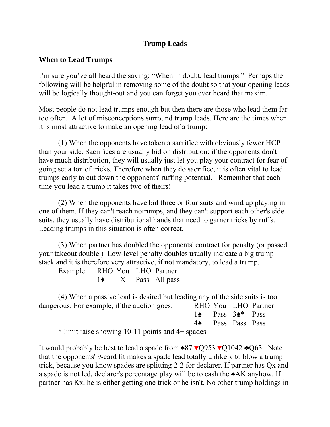## **Trump Leads**

## **When to Lead Trumps**

I'm sure you've all heard the saying: "When in doubt, lead trumps." Perhaps the following will be helpful in removing some of the doubt so that your opening leads will be logically thought-out and you can forget you ever heard that maxim.

Most people do not lead trumps enough but then there are those who lead them far too often. A lot of misconceptions surround trump leads. Here are the times when it is most attractive to make an opening lead of a trump:

 (1) When the opponents have taken a sacrifice with obviously fewer HCP than your side. Sacrifices are usually bid on distribution; if the opponents don't have much distribution, they will usually just let you play your contract for fear of going set a ton of tricks. Therefore when they do sacrifice, it is often vital to lead trumps early to cut down the opponents' ruffing potential. Remember that each time you lead a trump it takes two of theirs!

 (2) When the opponents have bid three or four suits and wind up playing in one of them. If they can't reach notrumps, and they can't support each other's side suits, they usually have distributional hands that need to garner tricks by ruffs. Leading trumps in this situation is often correct.

 (3) When partner has doubled the opponents' contract for penalty (or passed your takeout double.) Low-level penalty doubles usually indicate a big trump stack and it is therefore very attractive, if not mandatory, to lead a trump.

| Example: RHO You LHO Partner |  |                            |
|------------------------------|--|----------------------------|
|                              |  | $1\bullet$ X Pass All pass |

 (4) When a passive lead is desired but leading any of the side suits is too dangerous. For example, if the auction goes: RHO You LHO Partner 1♠ Pass 3♠\* Pass

4♠ Pass Pass Pass

\* limit raise showing 10-11 points and 4+ spades

It would probably be best to lead a spade from ♠87 ♥Q953 ♥Q1042 ♣Q63. Note that the opponents' 9-card fit makes a spade lead totally unlikely to blow a trump trick, because you know spades are splitting 2-2 for declarer. If partner has Qx and a spade is not led, declarer's percentage play will be to cash the ♠AK anyhow. If partner has Kx, he is either getting one trick or he isn't. No other trump holdings in